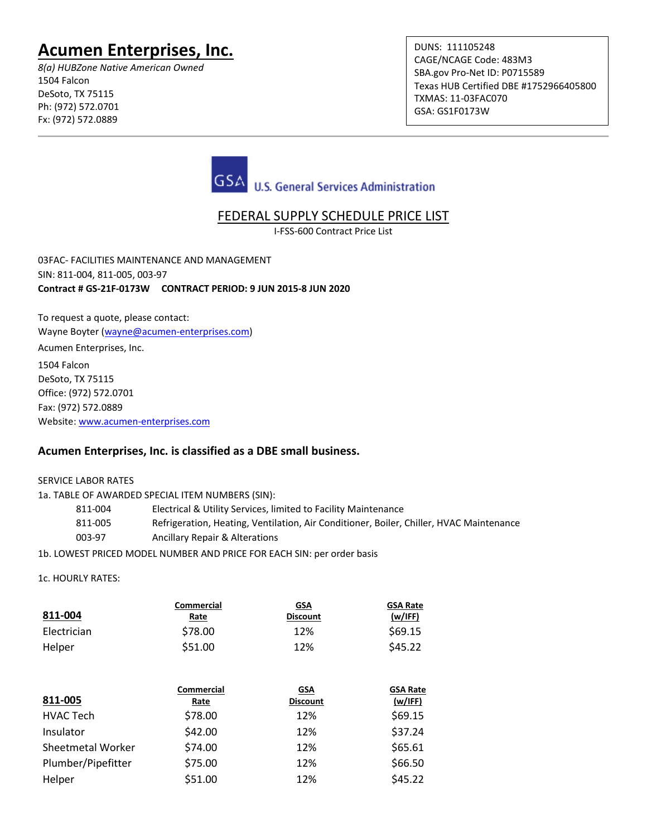*8(a) HUBZone Native American Owned* 1504 Falcon DeSoto, TX 75115 Ph: (972) 572.0701 Fx: (972) 572.0889

DUNS: 111105248 CAGE/NCAGE Code: 483M3 SBA.gov Pro-Net ID: P0715589 Texas HUB Certified DBE #1752966405800 TXMAS: 11-03FAC070 GSA: GS1F0173W



#### FEDERAL SUPPLY SCHEDULE PRICE LIST

I-FSS-600 Contract Price List

03FAC- FACILITIES MAINTENANCE AND MANAGEMENT SIN: 811-004, 811-005, 003-97 **Contract # GS-21F-0173W CONTRACT PERIOD: 9 JUN 2015-8 JUN 2020**

To request a quote, please contact: Wayne Boyter [\(wayne@acumen-enterprises.com\)](mailto:wayne@acumen-enterprises.com)

Acumen Enterprises, Inc.

1504 Falcon DeSoto, TX 75115 Office: (972) 572.0701 Fax: (972) 572.0889 Website[: www.acumen-enterprises.com](http://www.acumen-enterprises.com/)

#### **Acumen Enterprises, Inc. is classified as a DBE small business.**

SERVICE LABOR RATES 1a. TABLE OF AWARDED SPECIAL ITEM NUMBERS (SIN):

|         | 13. TABLE OF AWARDED SPECIAL ITEM NUMBERS (SIN):                                        |
|---------|-----------------------------------------------------------------------------------------|
| 811-004 | Electrical & Utility Services, limited to Facility Maintenance                          |
| 811-005 | Refrigeration, Heating, Ventilation, Air Conditioner, Boiler, Chiller, HVAC Maintenance |
| 003-97  | Ancillary Repair & Alterations                                                          |
|         | 16 LOMECT DRICED MODEL NUMBER AND DRICE EQR EACH CINE por order basis                   |

1b. LOWEST PRICED MODEL NUMBER AND PRICE FOR EACH SIN: per order basis

1c. HOURLY RATES:

| 811-004            | <b>Commercial</b><br>Rate | <b>GSA</b><br><b>Discount</b> | <b>GSA Rate</b><br>(w/IFF) |
|--------------------|---------------------------|-------------------------------|----------------------------|
| Electrician        | \$78.00                   | 12%                           | \$69.15                    |
| Helper             | \$51.00                   | 12%                           | \$45.22                    |
|                    |                           |                               |                            |
|                    | <b>Commercial</b>         | <b>GSA</b>                    | <b>GSA Rate</b>            |
| 811-005            | Rate                      | <b>Discount</b>               | (w/IFF)                    |
| <b>HVAC Tech</b>   | \$78.00                   | 12%                           | \$69.15                    |
| Insulator          | \$42.00                   | 12%                           | \$37.24                    |
| Sheetmetal Worker  | \$74.00                   | 12%                           | \$65.61                    |
| Plumber/Pipefitter | \$75.00                   | 12%                           | \$66.50                    |
| Helper             | \$51.00                   | 12%                           | \$45.22                    |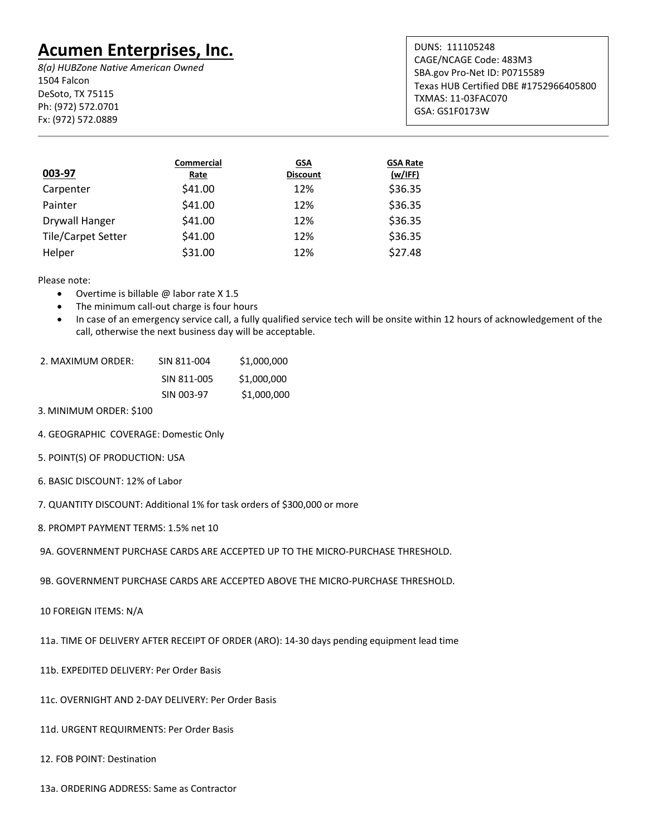*8(a) HUBZone Native American Owned* 1504 Falcon DeSoto, TX 75115 Ph: (972) 572.0701 Fx: (972) 572.0889

| 003-97                    | Commercial<br>Rate | GSA<br><b>Discount</b> | <b>GSA Rate</b><br>(w/IFF) |
|---------------------------|--------------------|------------------------|----------------------------|
| Carpenter                 | \$41.00            | 12%                    | \$36.35                    |
| Painter                   | \$41.00            | 12%                    | \$36.35                    |
| Drywall Hanger            | \$41.00            | 12%                    | \$36.35                    |
| <b>Tile/Carpet Setter</b> | \$41.00            | 12%                    | \$36.35                    |
| Helper                    | \$31.00            | 12%                    | \$27.48                    |

Please note:

- Overtime is billable @ labor rate X 1.5
- The minimum call-out charge is four hours
- In case of an emergency service call, a fully qualified service tech will be onsite within 12 hours of acknowledgement of the call, otherwise the next business day will be acceptable.

| 2. MAXIMUM ORDER: | SIN 811-004 | \$1,000,000 |
|-------------------|-------------|-------------|
|                   | SIN 811-005 | \$1,000,000 |
|                   | SIN 003-97  | \$1,000,000 |

3. MINIMUM ORDER: \$100

- 4. GEOGRAPHIC COVERAGE: Domestic Only
- 5. POINT(S) OF PRODUCTION: USA
- 6. BASIC DISCOUNT: 12% of Labor

7. QUANTITY DISCOUNT: Additional 1% for task orders of \$300,000 or more

8. PROMPT PAYMENT TERMS: 1.5% net 10

9A. GOVERNMENT PURCHASE CARDS ARE ACCEPTED UP TO THE MICRO-PURCHASE THRESHOLD.

9B. GOVERNMENT PURCHASE CARDS ARE ACCEPTED ABOVE THE MICRO-PURCHASE THRESHOLD.

10 FOREIGN ITEMS: N/A

- 11a. TIME OF DELIVERY AFTER RECEIPT OF ORDER (ARO): 14-30 days pending equipment lead time
- 11b. EXPEDITED DELIVERY: Per Order Basis
- 11c. OVERNIGHT AND 2-DAY DELIVERY: Per Order Basis
- 11d. URGENT REQUIRMENTS: Per Order Basis
- 12. FOB POINT: Destination
- 13a. ORDERING ADDRESS: Same as Contractor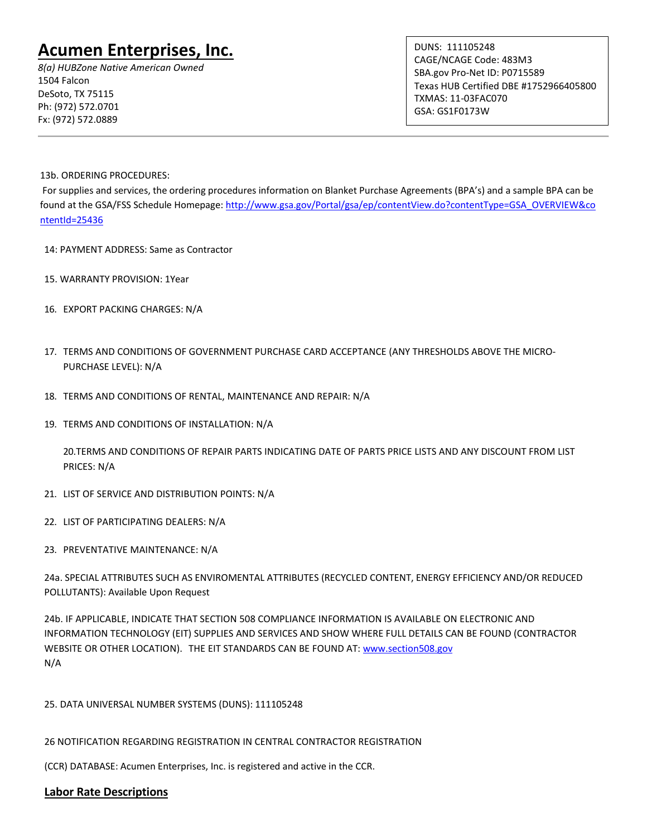*8(a) HUBZone Native American Owned* 1504 Falcon DeSoto, TX 75115 Ph: (972) 572.0701 Fx: (972) 572.0889

DUNS: 111105248 CAGE/NCAGE Code: 483M3 SBA.gov Pro-Net ID: P0715589 Texas HUB Certified DBE #1752966405800 TXMAS: 11-03FAC070 GSA: GS1F0173W

13b. ORDERING PROCEDURES:

For supplies and services, the ordering procedures information on Blanket Purchase Agreements (BPA's) and a sample BPA can be found at the GSA/FSS Schedule Homepage[: http://www.gsa.gov/Portal/gsa/ep/contentView.do?contentType=GSA\\_OVERVIEW&co](http://www.gsa.gov/Portal/gsa/ep/contentView.do?contentType=GSA_OVERVIEW&contentId=25436) [ntentId=25436](http://www.gsa.gov/Portal/gsa/ep/contentView.do?contentType=GSA_OVERVIEW&contentId=25436)

- 14: PAYMENT ADDRESS: Same as Contractor
- 15. WARRANTY PROVISION: 1Year
- 16. EXPORT PACKING CHARGES: N/A
- 17. TERMS AND CONDITIONS OF GOVERNMENT PURCHASE CARD ACCEPTANCE (ANY THRESHOLDS ABOVE THE MICRO-PURCHASE LEVEL): N/A
- 18. TERMS AND CONDITIONS OF RENTAL, MAINTENANCE AND REPAIR: N/A
- 19. TERMS AND CONDITIONS OF INSTALLATION: N/A

20.TERMS AND CONDITIONS OF REPAIR PARTS INDICATING DATE OF PARTS PRICE LISTS AND ANY DISCOUNT FROM LIST PRICES: N/A

- 21. LIST OF SERVICE AND DISTRIBUTION POINTS: N/A
- 22. LIST OF PARTICIPATING DEALERS: N/A
- 23. PREVENTATIVE MAINTENANCE: N/A

24a. SPECIAL ATTRIBUTES SUCH AS ENVIROMENTAL ATTRIBUTES (RECYCLED CONTENT, ENERGY EFFICIENCY AND/OR REDUCED POLLUTANTS): Available Upon Request

24b. IF APPLICABLE, INDICATE THAT SECTION 508 COMPLIANCE INFORMATION IS AVAILABLE ON ELECTRONIC AND INFORMATION TECHNOLOGY (EIT) SUPPLIES AND SERVICES AND SHOW WHERE FULL DETAILS CAN BE FOUND (CONTRACTOR WEBSITE OR OTHER LOCATION). THE EIT STANDARDS CAN BE FOUND AT: [www.section508.gov](http://www.section508.gov/) N/A

25. DATA UNIVERSAL NUMBER SYSTEMS (DUNS): 111105248

26 NOTIFICATION REGARDING REGISTRATION IN CENTRAL CONTRACTOR REGISTRATION

(CCR) DATABASE: Acumen Enterprises, Inc. is registered and active in the CCR.

#### **Labor Rate Descriptions**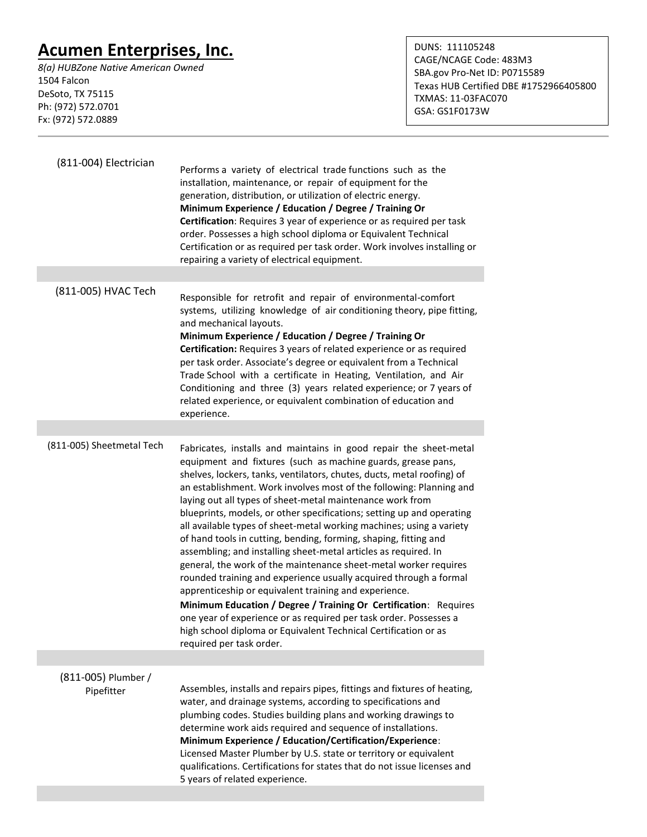*8(a) HUBZone Native American Owned* 1504 Falcon DeSoto, TX 75115 Ph: (972) 572.0701 Fx: (972) 572.0889

DUNS: 111105248 CAGE/NCAGE Code: 483M3 SBA.gov Pro-Net ID: P0715589 Texas HUB Certified DBE #1752966405800 TXMAS: 11-03FAC070 GSA: GS1F0173W

| (811-004) Electrician             | Performs a variety of electrical trade functions such as the<br>installation, maintenance, or repair of equipment for the<br>generation, distribution, or utilization of electric energy.<br>Minimum Experience / Education / Degree / Training Or<br>Certification: Requires 3 year of experience or as required per task<br>order. Possesses a high school diploma or Equivalent Technical<br>Certification or as required per task order. Work involves installing or<br>repairing a variety of electrical equipment.                                                                                                                                                                                                                                                                                                                                                                                                                                                                                                                                                          |
|-----------------------------------|-----------------------------------------------------------------------------------------------------------------------------------------------------------------------------------------------------------------------------------------------------------------------------------------------------------------------------------------------------------------------------------------------------------------------------------------------------------------------------------------------------------------------------------------------------------------------------------------------------------------------------------------------------------------------------------------------------------------------------------------------------------------------------------------------------------------------------------------------------------------------------------------------------------------------------------------------------------------------------------------------------------------------------------------------------------------------------------|
|                                   |                                                                                                                                                                                                                                                                                                                                                                                                                                                                                                                                                                                                                                                                                                                                                                                                                                                                                                                                                                                                                                                                                   |
| (811-005) HVAC Tech               | Responsible for retrofit and repair of environmental-comfort<br>systems, utilizing knowledge of air conditioning theory, pipe fitting,<br>and mechanical layouts.<br>Minimum Experience / Education / Degree / Training Or<br>Certification: Requires 3 years of related experience or as required<br>per task order. Associate's degree or equivalent from a Technical<br>Trade School with a certificate in Heating, Ventilation, and Air<br>Conditioning and three (3) years related experience; or 7 years of<br>related experience, or equivalent combination of education and<br>experience.                                                                                                                                                                                                                                                                                                                                                                                                                                                                                |
|                                   |                                                                                                                                                                                                                                                                                                                                                                                                                                                                                                                                                                                                                                                                                                                                                                                                                                                                                                                                                                                                                                                                                   |
| (811-005) Sheetmetal Tech         | Fabricates, installs and maintains in good repair the sheet-metal<br>equipment and fixtures (such as machine guards, grease pans,<br>shelves, lockers, tanks, ventilators, chutes, ducts, metal roofing) of<br>an establishment. Work involves most of the following: Planning and<br>laying out all types of sheet-metal maintenance work from<br>blueprints, models, or other specifications; setting up and operating<br>all available types of sheet-metal working machines; using a variety<br>of hand tools in cutting, bending, forming, shaping, fitting and<br>assembling; and installing sheet-metal articles as required. In<br>general, the work of the maintenance sheet-metal worker requires<br>rounded training and experience usually acquired through a formal<br>apprenticeship or equivalent training and experience.<br>Minimum Education / Degree / Training Or Certification: Requires<br>one year of experience or as required per task order. Possesses a<br>high school diploma or Equivalent Technical Certification or as<br>required per task order. |
|                                   |                                                                                                                                                                                                                                                                                                                                                                                                                                                                                                                                                                                                                                                                                                                                                                                                                                                                                                                                                                                                                                                                                   |
| (811-005) Plumber /<br>Pipefitter | Assembles, installs and repairs pipes, fittings and fixtures of heating,<br>water, and drainage systems, according to specifications and<br>plumbing codes. Studies building plans and working drawings to<br>determine work aids required and sequence of installations.<br><b>Minimum Experience / Education/Certification/Experience:</b><br>Licensed Master Plumber by U.S. state or territory or equivalent<br>qualifications. Certifications for states that do not issue licenses and<br>5 years of related experience.                                                                                                                                                                                                                                                                                                                                                                                                                                                                                                                                                    |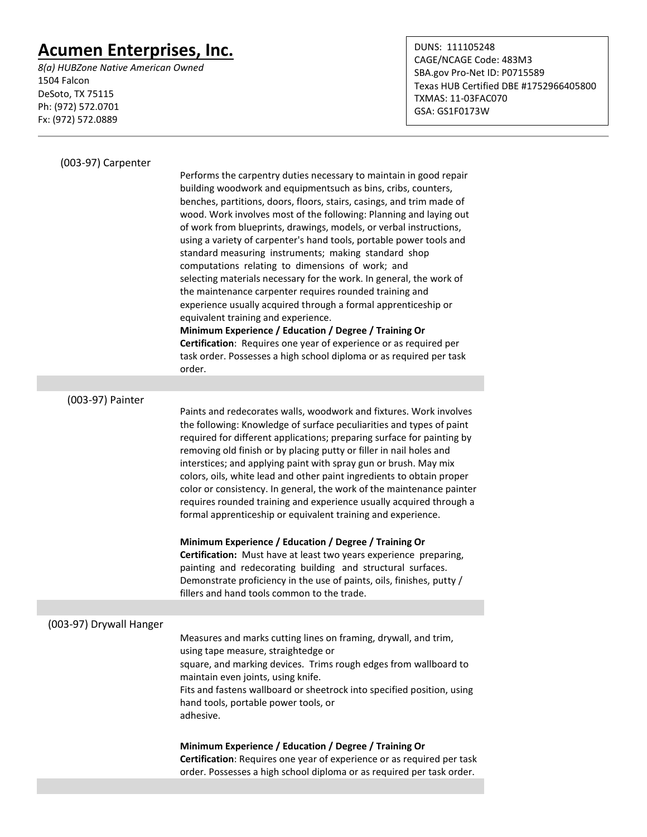*8(a) HUBZone Native American Owned* 1504 Falcon DeSoto, TX 75115 Ph: (972) 572.0701 Fx: (972) 572.0889

DUNS: 111105248 CAGE/NCAGE Code: 483M3 SBA.gov Pro-Net ID: P0715589 Texas HUB Certified DBE #1752966405800 TXMAS: 11-03FAC070 GSA: GS1F0173W

| Performs the carpentry duties necessary to maintain in good repair<br>building woodwork and equipmentsuch as bins, cribs, counters,<br>benches, partitions, doors, floors, stairs, casings, and trim made of<br>wood. Work involves most of the following: Planning and laying out<br>of work from blueprints, drawings, models, or verbal instructions,<br>using a variety of carpenter's hand tools, portable power tools and<br>standard measuring instruments; making standard shop<br>computations relating to dimensions of work; and<br>selecting materials necessary for the work. In general, the work of<br>the maintenance carpenter requires rounded training and<br>experience usually acquired through a formal apprenticeship or<br>equivalent training and experience.<br>Minimum Experience / Education / Degree / Training Or<br>Certification: Requires one year of experience or as required per<br>task order. Possesses a high school diploma or as required per task<br>order. |
|-------------------------------------------------------------------------------------------------------------------------------------------------------------------------------------------------------------------------------------------------------------------------------------------------------------------------------------------------------------------------------------------------------------------------------------------------------------------------------------------------------------------------------------------------------------------------------------------------------------------------------------------------------------------------------------------------------------------------------------------------------------------------------------------------------------------------------------------------------------------------------------------------------------------------------------------------------------------------------------------------------|
|                                                                                                                                                                                                                                                                                                                                                                                                                                                                                                                                                                                                                                                                                                                                                                                                                                                                                                                                                                                                       |
| Paints and redecorates walls, woodwork and fixtures. Work involves<br>the following: Knowledge of surface peculiarities and types of paint<br>required for different applications; preparing surface for painting by<br>removing old finish or by placing putty or filler in nail holes and<br>interstices; and applying paint with spray gun or brush. May mix<br>colors, oils, white lead and other paint ingredients to obtain proper<br>color or consistency. In general, the work of the maintenance painter<br>requires rounded training and experience usually acquired through a<br>formal apprenticeship or equivalent training and experience.<br>Minimum Experience / Education / Degree / Training Or<br>Certification: Must have at least two years experience preparing,<br>painting and redecorating building and structural surfaces.<br>Demonstrate proficiency in the use of paints, oils, finishes, putty /<br>fillers and hand tools common to the trade.                         |
| Measures and marks cutting lines on framing, drywall, and trim,<br>using tape measure, straightedge or<br>square, and marking devices. Trims rough edges from wallboard to<br>maintain even joints, using knife.<br>Fits and fastens wallboard or sheetrock into specified position, using<br>hand tools, portable power tools, or<br>adhesive.<br>Minimum Experience / Education / Degree / Training Or<br>Certification: Requires one year of experience or as required per task<br>order. Possesses a high school diploma or as required per task order.                                                                                                                                                                                                                                                                                                                                                                                                                                           |
|                                                                                                                                                                                                                                                                                                                                                                                                                                                                                                                                                                                                                                                                                                                                                                                                                                                                                                                                                                                                       |